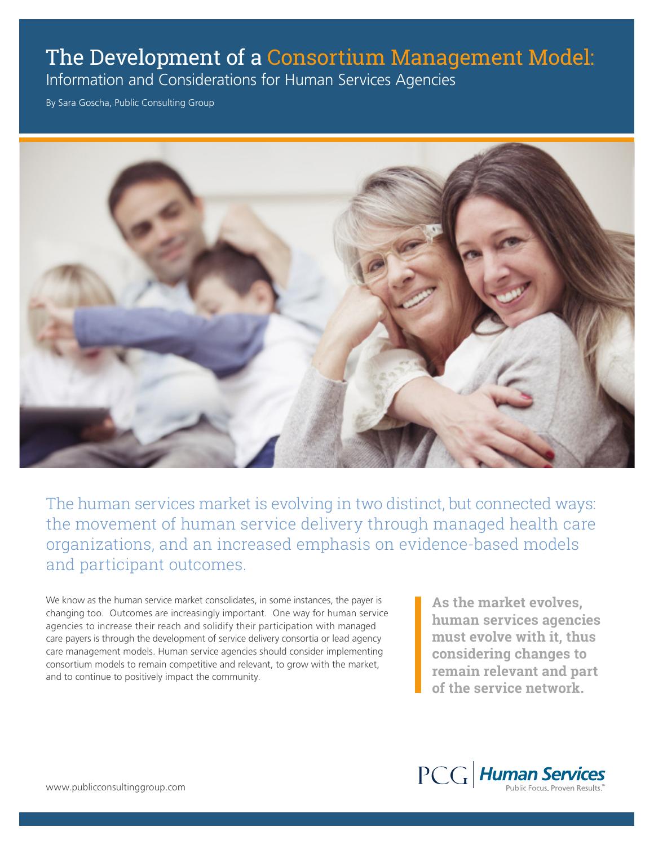# The Development of a Consortium Management Model:

Information and Considerations for Human Services Agencies

By Sara Goscha, Public Consulting Group



The human services market is evolving in two distinct, but connected ways: the movement of human service delivery through managed health care organizations, and an increased emphasis on evidence-based models and participant outcomes.

We know as the human service market consolidates, in some instances, the payer is changing too. Outcomes are increasingly important. One way for human service agencies to increase their reach and solidify their participation with managed care payers is through the development of service delivery consortia or lead agency care management models. Human service agencies should consider implementing consortium models to remain competitive and relevant, to grow with the market, and to continue to positively impact the community.

**As the market evolves, human services agencies must evolve with it, thus considering changes to remain relevant and part of the service network.** 

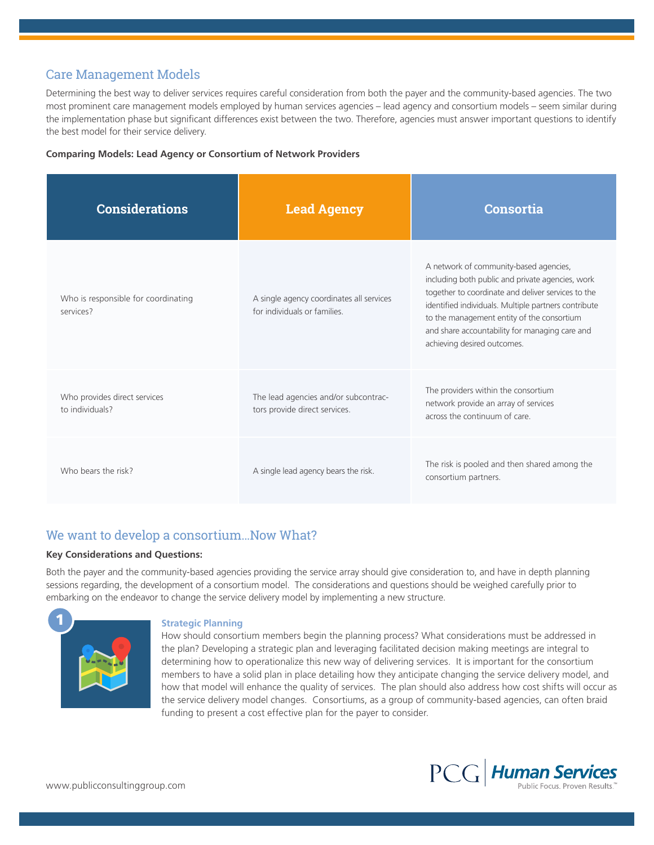## Care Management Models

Determining the best way to deliver services requires careful consideration from both the payer and the community-based agencies. The two most prominent care management models employed by human services agencies – lead agency and consortium models – seem similar during the implementation phase but significant differences exist between the two. Therefore, agencies must answer important questions to identify the best model for their service delivery.

| <b>Considerations</b>                            | <b>Lead Agency</b>                                                       | <b>Consortia</b>                                                                                                                                                                                                                                                                                                                        |
|--------------------------------------------------|--------------------------------------------------------------------------|-----------------------------------------------------------------------------------------------------------------------------------------------------------------------------------------------------------------------------------------------------------------------------------------------------------------------------------------|
| Who is responsible for coordinating<br>services? | A single agency coordinates all services<br>for individuals or families. | A network of community-based agencies,<br>including both public and private agencies, work<br>together to coordinate and deliver services to the<br>identified individuals. Multiple partners contribute<br>to the management entity of the consortium<br>and share accountability for managing care and<br>achieving desired outcomes. |
| Who provides direct services<br>to individuals?  | The lead agencies and/or subcontrac-<br>tors provide direct services.    | The providers within the consortium<br>network provide an array of services<br>across the continuum of care                                                                                                                                                                                                                             |
| Who bears the risk?                              | A single lead agency bears the risk.                                     | The risk is pooled and then shared among the<br>consortium partners.                                                                                                                                                                                                                                                                    |

### **Comparing Models: Lead Agency or Consortium of Network Providers**

## We want to develop a consortium…Now What?

### **Key Considerations and Questions:**

Both the payer and the community-based agencies providing the service array should give consideration to, and have in depth planning sessions regarding, the development of a consortium model. The considerations and questions should be weighed carefully prior to embarking on the endeavor to change the service delivery model by implementing a new structure.



### **Strategic Planning**

How should consortium members begin the planning process? What considerations must be addressed in the plan? Developing a strategic plan and leveraging facilitated decision making meetings are integral to determining how to operationalize this new way of delivering services. It is important for the consortium members to have a solid plan in place detailing how they anticipate changing the service delivery model, and how that model will enhance the quality of services. The plan should also address how cost shifts will occur as the service delivery model changes. Consortiums, as a group of community-based agencies, can often braid funding to present a cost effective plan for the payer to consider.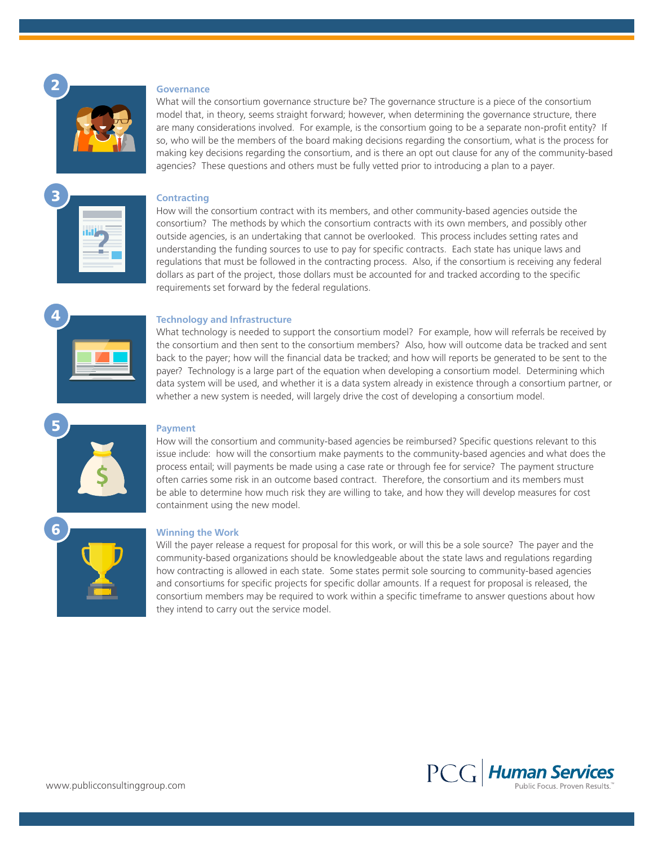

### **Governance**

What will the consortium governance structure be? The governance structure is a piece of the consortium model that, in theory, seems straight forward; however, when determining the governance structure, there are many considerations involved. For example, is the consortium going to be a separate non-profit entity? If so, who will be the members of the board making decisions regarding the consortium, what is the process for making key decisions regarding the consortium, and is there an opt out clause for any of the community-based agencies? These questions and others must be fully vetted prior to introducing a plan to a payer.

| d. |  |
|----|--|
|    |  |

### **Contracting**

How will the consortium contract with its members, and other community-based agencies outside the consortium? The methods by which the consortium contracts with its own members, and possibly other outside agencies, is an undertaking that cannot be overlooked. This process includes setting rates and understanding the funding sources to use to pay for specific contracts. Each state has unique laws and regulations that must be followed in the contracting process. Also, if the consortium is receiving any federal dollars as part of the project, those dollars must be accounted for and tracked according to the specific requirements set forward by the federal regulations.



#### **Technology and Infrastructure**

What technology is needed to support the consortium model? For example, how will referrals be received by the consortium and then sent to the consortium members? Also, how will outcome data be tracked and sent back to the payer; how will the financial data be tracked; and how will reports be generated to be sent to the payer? Technology is a large part of the equation when developing a consortium model. Determining which data system will be used, and whether it is a data system already in existence through a consortium partner, or whether a new system is needed, will largely drive the cost of developing a consortium model.



### **Payment**

How will the consortium and community-based agencies be reimbursed? Specific questions relevant to this issue include: how will the consortium make payments to the community-based agencies and what does the process entail; will payments be made using a case rate or through fee for service? The payment structure often carries some risk in an outcome based contract. Therefore, the consortium and its members must be able to determine how much risk they are willing to take, and how they will develop measures for cost containment using the new model.



#### **Winning the Work**

Will the payer release a request for proposal for this work, or will this be a sole source? The payer and the community-based organizations should be knowledgeable about the state laws and regulations regarding how contracting is allowed in each state. Some states permit sole sourcing to community-based agencies and consortiums for specific projects for specific dollar amounts. If a request for proposal is released, the consortium members may be required to work within a specific timeframe to answer questions about how they intend to carry out the service model.